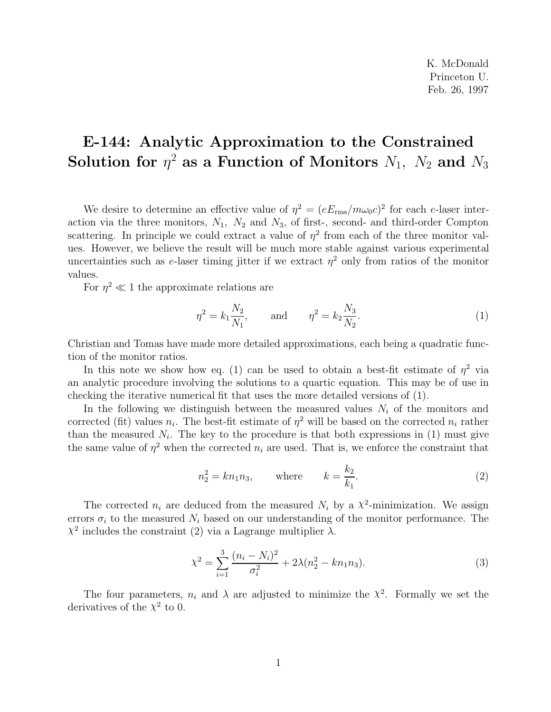K. McDonald Princeton U. Feb. 26, 1997

## **E-144: Analytic Approximation to the Constrained Solution for**  $\eta^2$  as a Function of Monitors  $N_1$ ,  $N_2$  and  $N_3$

We desire to determine an effective value of  $\eta^2 = (eE_{\text{rms}}/m\omega_0c)^2$  for each e-laser interaction via the three monitors,  $N_1$ ,  $N_2$  and  $N_3$ , of first-, second- and third-order Compton scattering. In principle we could extract a value of  $\eta^2$  from each of the three monitor values. However, we believe the result will be much more stable against various experimental uncertainties such as e-laser timing jitter if we extract  $\eta^2$  only from ratios of the monitor values.

For  $\eta^2 \ll 1$  the approximate relations are

$$
\eta^2 = k_1 \frac{N_2}{N_1}, \quad \text{and} \quad \eta^2 = k_2 \frac{N_3}{N_2}.
$$
 (1)

Christian and Tomas have made more detailed approximations, each being a quadratic function of the monitor ratios.

In this note we show how eq. (1) can be used to obtain a best-fit estimate of  $\eta^2$  via an analytic procedure involving the solutions to a quartic equation. This may be of use in checking the iterative numerical fit that uses the more detailed versions of (1).

In the following we distinguish between the measured values  $N_i$  of the monitors and corrected (fit) values  $n_i$ . The best-fit estimate of  $\eta^2$  will be based on the corrected  $n_i$  rather than the measured  $N_i$ . The key to the procedure is that both expressions in  $(1)$  must give the same value of  $\eta^2$  when the corrected  $n_i$  are used. That is, we enforce the constraint that

$$
n_2^2 = k n_1 n_3, \qquad \text{where} \qquad k = \frac{k_2}{k_1}.
$$
 (2)

The corrected  $n_i$  are deduced from the measured  $N_i$  by a  $\chi^2$ -minimization. We assign errors  $\sigma_i$  to the measured  $N_i$  based on our understanding of the monitor performance. The  $\chi^2$  includes the constraint (2) via a Lagrange multiplier  $\lambda$ .

$$
\chi^2 = \sum_{i=1}^3 \frac{(n_i - N_i)^2}{\sigma_i^2} + 2\lambda (n_2^2 - kn_1 n_3).
$$
 (3)

The four parameters,  $n_i$  and  $\lambda$  are adjusted to minimize the  $\chi^2$ . Formally we set the derivatives of the  $\chi^2$  to 0.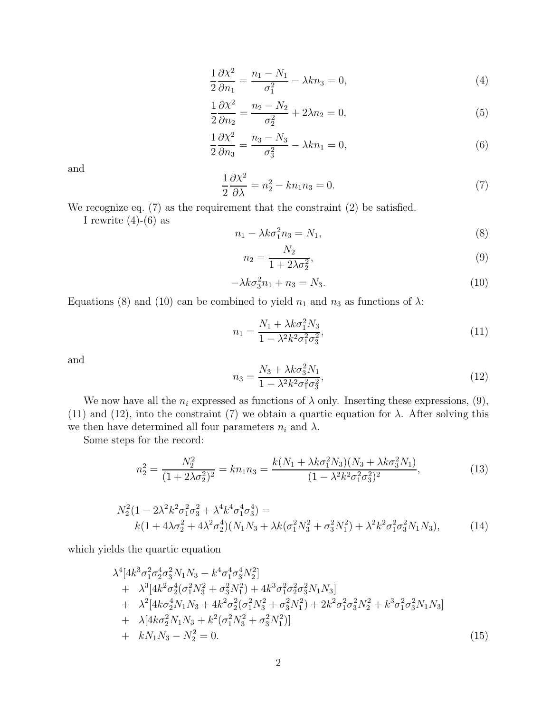$$
\frac{1}{2}\frac{\partial \chi^2}{\partial n_1} = \frac{n_1 - N_1}{\sigma_1^2} - \lambda k n_3 = 0,\tag{4}
$$

$$
\frac{1}{2}\frac{\partial \chi^2}{\partial n_2} = \frac{n_2 - N_2}{\sigma_2^2} + 2\lambda n_2 = 0,
$$
\n(5)

$$
\frac{1}{2}\frac{\partial \chi^2}{\partial n_3} = \frac{n_3 - N_3}{\sigma_3^2} - \lambda k n_1 = 0,\tag{6}
$$

and

$$
\frac{1}{2}\frac{\partial \chi^2}{\partial \lambda} = n_2^2 - kn_1 n_3 = 0.
$$
\n(7)

We recognize eq. (7) as the requirement that the constraint (2) be satisfied.

I rewrite  $(4)-(6)$  as

$$
n_1 - \lambda k \sigma_1^2 n_3 = N_1,\tag{8}
$$

$$
n_2 = \frac{N_2}{1 + 2\lambda\sigma_2^2},\tag{9}
$$

$$
-\lambda k \sigma_3^2 n_1 + n_3 = N_3. \tag{10}
$$

Equations (8) and (10) can be combined to yield  $n_1$  and  $n_3$  as functions of  $\lambda$ :

$$
n_1 = \frac{N_1 + \lambda k \sigma_1^2 N_3}{1 - \lambda^2 k^2 \sigma_1^2 \sigma_3^2},
$$
\n(11)

and

$$
n_3 = \frac{N_3 + \lambda k \sigma_3^2 N_1}{1 - \lambda^2 k^2 \sigma_1^2 \sigma_3^2},\tag{12}
$$

We now have all the  $n_i$  expressed as functions of  $\lambda$  only. Inserting these expressions, (9), (11) and (12), into the constraint (7) we obtain a quartic equation for  $\lambda$ . After solving this we then have determined all four parameters  $n_i$  and  $\lambda$ .

Some steps for the record:

$$
n_2^2 = \frac{N_2^2}{(1 + 2\lambda\sigma_2^2)^2} = kn_1n_3 = \frac{k(N_1 + \lambda k\sigma_1^2 N_3)(N_3 + \lambda k\sigma_3^2 N_1)}{(1 - \lambda^2 k^2 \sigma_1^2 \sigma_3^2)^2},
$$
(13)

$$
N_2^2(1 - 2\lambda^2 k^2 \sigma_1^2 \sigma_3^2 + \lambda^4 k^4 \sigma_1^4 \sigma_3^4) =
$$
  
 
$$
k(1 + 4\lambda \sigma_2^2 + 4\lambda^2 \sigma_2^4)(N_1 N_3 + \lambda k(\sigma_1^2 N_3^2 + \sigma_3^2 N_1^2) + \lambda^2 k^2 \sigma_1^2 \sigma_3^2 N_1 N_3),
$$
 (14)

which yields the quartic equation

$$
\lambda^{4}[4k^{3}\sigma_{1}^{2}\sigma_{2}^{4}\sigma_{3}^{2}N_{1}N_{3} - k^{4}\sigma_{1}^{4}\sigma_{3}^{4}N_{2}^{2}] \n+ \lambda^{3}[4k^{2}\sigma_{2}^{4}(\sigma_{1}^{2}N_{3}^{2} + \sigma_{3}^{2}N_{1}^{2}) + 4k^{3}\sigma_{1}^{2}\sigma_{2}^{2}\sigma_{3}^{2}N_{1}N_{3}] \n+ \lambda^{2}[4k\sigma_{2}^{4}N_{1}N_{3} + 4k^{2}\sigma_{2}^{2}(\sigma_{1}^{2}N_{3}^{2} + \sigma_{3}^{2}N_{1}^{2}) + 2k^{2}\sigma_{1}^{2}\sigma_{3}^{2}N_{2}^{2} + k^{3}\sigma_{1}^{2}\sigma_{3}^{2}N_{1}N_{3}] \n+ \lambda[4k\sigma_{2}^{2}N_{1}N_{3} + k^{2}(\sigma_{1}^{2}N_{3}^{2} + \sigma_{3}^{2}N_{1}^{2})] \n+ kN_{1}N_{3} - N_{2}^{2} = 0.
$$
\n(15)